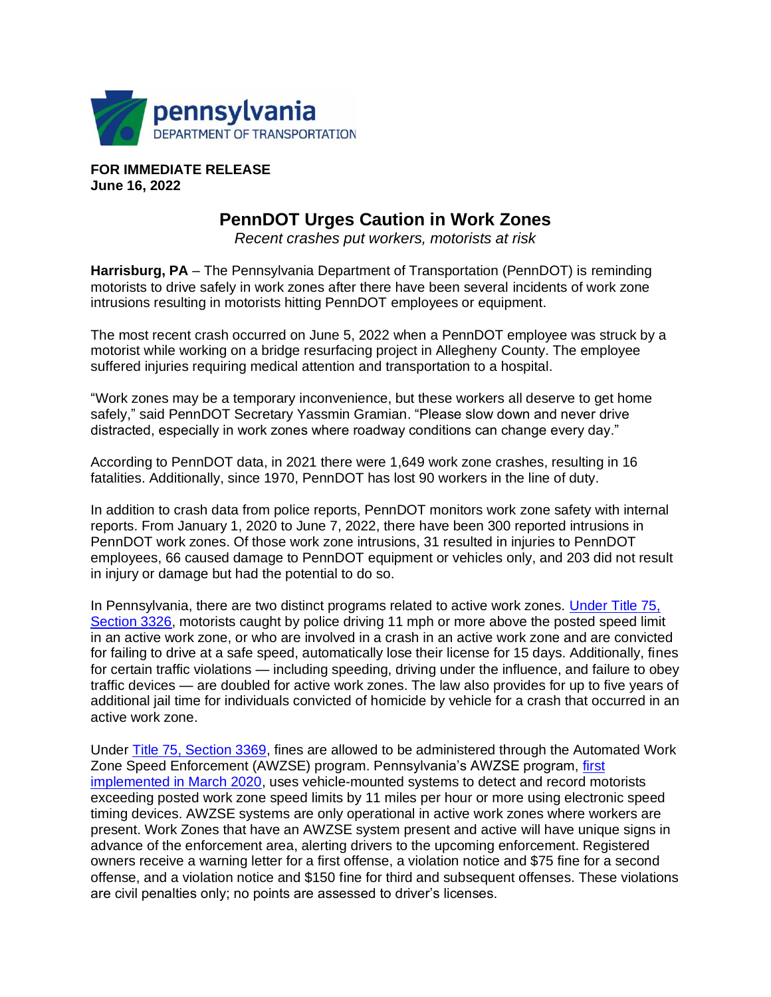

**FOR IMMEDIATE RELEASE June 16, 2022**

## **PennDOT Urges Caution in Work Zones**

*Recent crashes put workers, motorists at risk*

Harrisburg, PA - The Pennsylvania Department of Transportation (PennDOT) is reminding motorists to drive safely in work zones after there have been several incidents of work zone intrusions resulting in motorists hitting PennDOT employees or equipment.

The most recent crash occurred on June 5, 2022 when a PennDOT employee was struck by a motorist while working on a bridge resurfacing project in Allegheny County. The employee suffered injuries requiring medical attention and transportation to a hospital.

"Work zones may be a temporary inconvenience, but these workers all deserve to get home safely," said PennDOT Secretary Yassmin Gramian. "Please slow down and never drive distracted, especially in work zones where roadway conditions can change every day."

According to PennDOT data, in 2021 there were 1,649 work zone crashes, resulting in 16 fatalities. Additionally, since 1970, PennDOT has lost 90 workers in the line of duty.

In addition to crash data from police reports, PennDOT monitors work zone safety with internal reports. From January 1, 2020 to June 7, 2022, there have been 300 reported intrusions in PennDOT work zones. Of those work zone intrusions, 31 resulted in injuries to PennDOT employees, 66 caused damage to PennDOT equipment or vehicles only, and 203 did not result in injury or damage but had the potential to do so.

In Pennsylvania, there are two distinct programs related to active work zones. [Under Title 75,](https://www.legis.state.pa.us/cfdocs/legis/LI/consCheck.cfm?txtType=HTM&ttl=75&div=0&chpt=33&sctn=26&subsctn=0)  [Section 3326,](https://www.legis.state.pa.us/cfdocs/legis/LI/consCheck.cfm?txtType=HTM&ttl=75&div=0&chpt=33&sctn=26&subsctn=0) motorists caught by police driving 11 mph or more above the posted speed limit in an active work zone, or who are involved in a crash in an active work zone and are convicted for failing to drive at a safe speed, automatically lose their license for 15 days. Additionally, fines for certain traffic violations — including speeding, driving under the influence, and failure to obey traffic devices — are doubled for active work zones. The law also provides for up to five years of additional jail time for individuals convicted of homicide by vehicle for a crash that occurred in an active work zone.

Under [Title 75, Section 3369,](https://www.legis.state.pa.us/cfdocs/legis/LI/consCheck.cfm?txtType=HTM&ttl=75&div=0&chpt=33&sctn=69&subsctn=0) fines are allowed to be administered through the Automated Work Zone Speed Enforcement (AWZSE) program. Pennsylvania's AWZSE program, [first](https://pacast.com/m?p=17774)  [implemented in March 2020,](https://pacast.com/m?p=17774) uses vehicle-mounted systems to detect and record motorists exceeding posted work zone speed limits by 11 miles per hour or more using electronic speed timing devices. AWZSE systems are only operational in active work zones where workers are present. Work Zones that have an AWZSE system present and active will have unique signs in advance of the enforcement area, alerting drivers to the upcoming enforcement. Registered owners receive a warning letter for a first offense, a violation notice and \$75 fine for a second offense, and a violation notice and \$150 fine for third and subsequent offenses. These violations are civil penalties only; no points are assessed to driver's licenses.